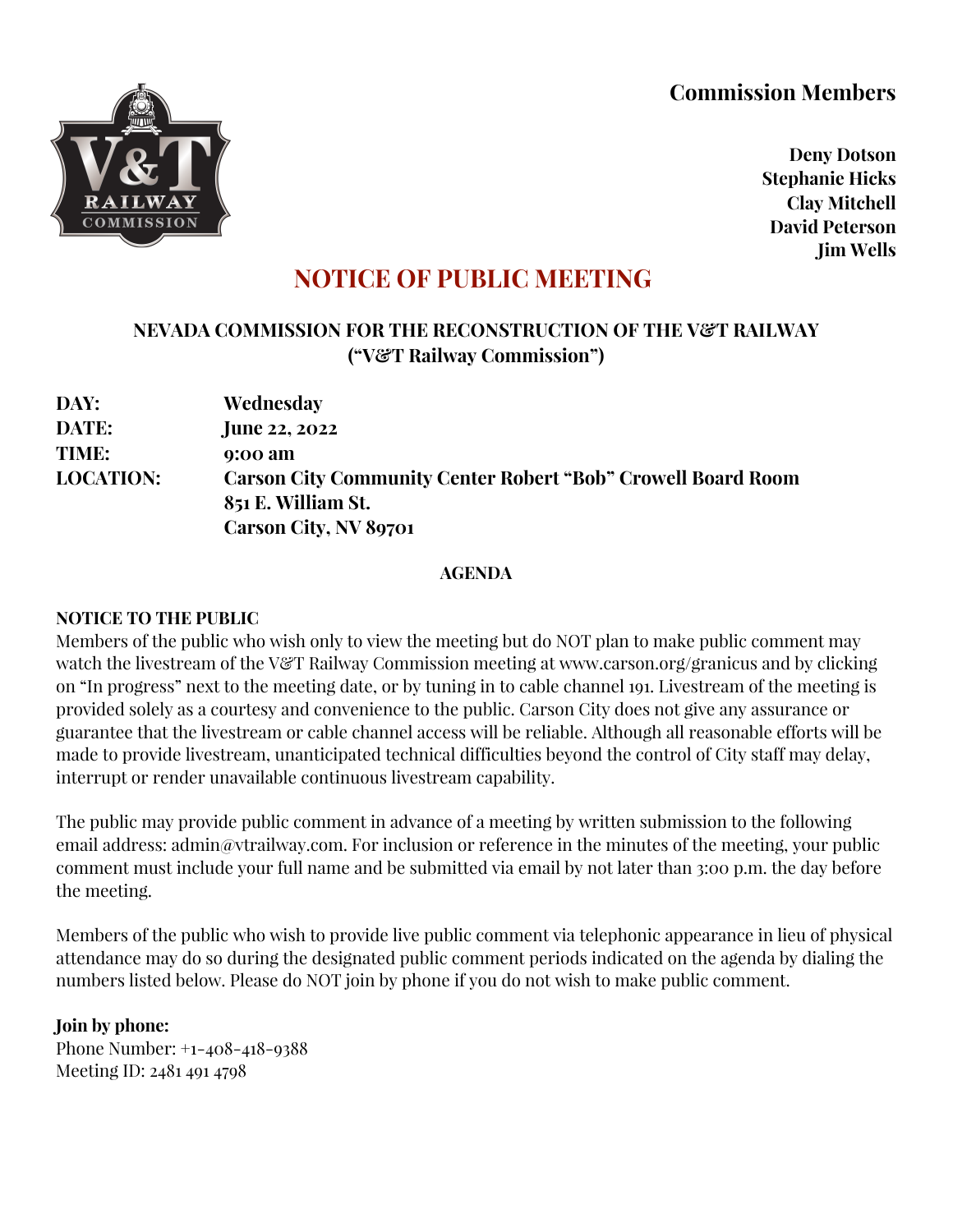## **Commission Members**



**Deny Dotson Stephanie Hicks Clay Mitchell David Peterson Jim Wells**

# **NOTICE OF PUBLIC MEETING**

### **NEVADA COMMISSION FOR THE RECONSTRUCTION OF THE V&T RAILWAY ("V&T Railway Commission")**

| DAY:             | Wednesday                                                           |
|------------------|---------------------------------------------------------------------|
| <b>DATE:</b>     | <b>June 22, 2022</b>                                                |
| TIME:            | 9:00 am                                                             |
| <b>LOCATION:</b> | <b>Carson City Community Center Robert "Bob" Crowell Board Room</b> |
|                  | 851 E. William St.                                                  |
|                  | <b>Carson City, NV 89701</b>                                        |

#### **AGENDA**

#### **NOTICE TO THE PUBLIC**

Members of the public who wish only to view the meeting but do NOT plan to make public comment may watch the livestream of the V&T Railway Commission meeting at www.carson.org/granicus and by clicking on "In progress" next to the meeting date, or by tuning in to cable channel 191. Livestream of the meeting is provided solely as a courtesy and convenience to the public. Carson City does not give any assurance or guarantee that the livestream or cable channel access will be reliable. Although all reasonable efforts will be made to provide livestream, unanticipated technical difficulties beyond the control of City staff may delay, interrupt or render unavailable continuous livestream capability.

The public may provide public comment in advance of a meeting by written submission to the following email address: admin@vtrailway.com. For inclusion or reference in the minutes of the meeting, your public comment must include your full name and be submitted via email by not later than 3:00 p.m. the day before the meeting.

Members of the public who wish to provide live public comment via telephonic appearance in lieu of physical attendance may do so during the designated public comment periods indicated on the agenda by dialing the numbers listed below. Please do NOT join by phone if you do not wish to make public comment.

#### **Join by phone:**

Phone Number: +1-408-418-9388 Meeting ID: 2481 491 4798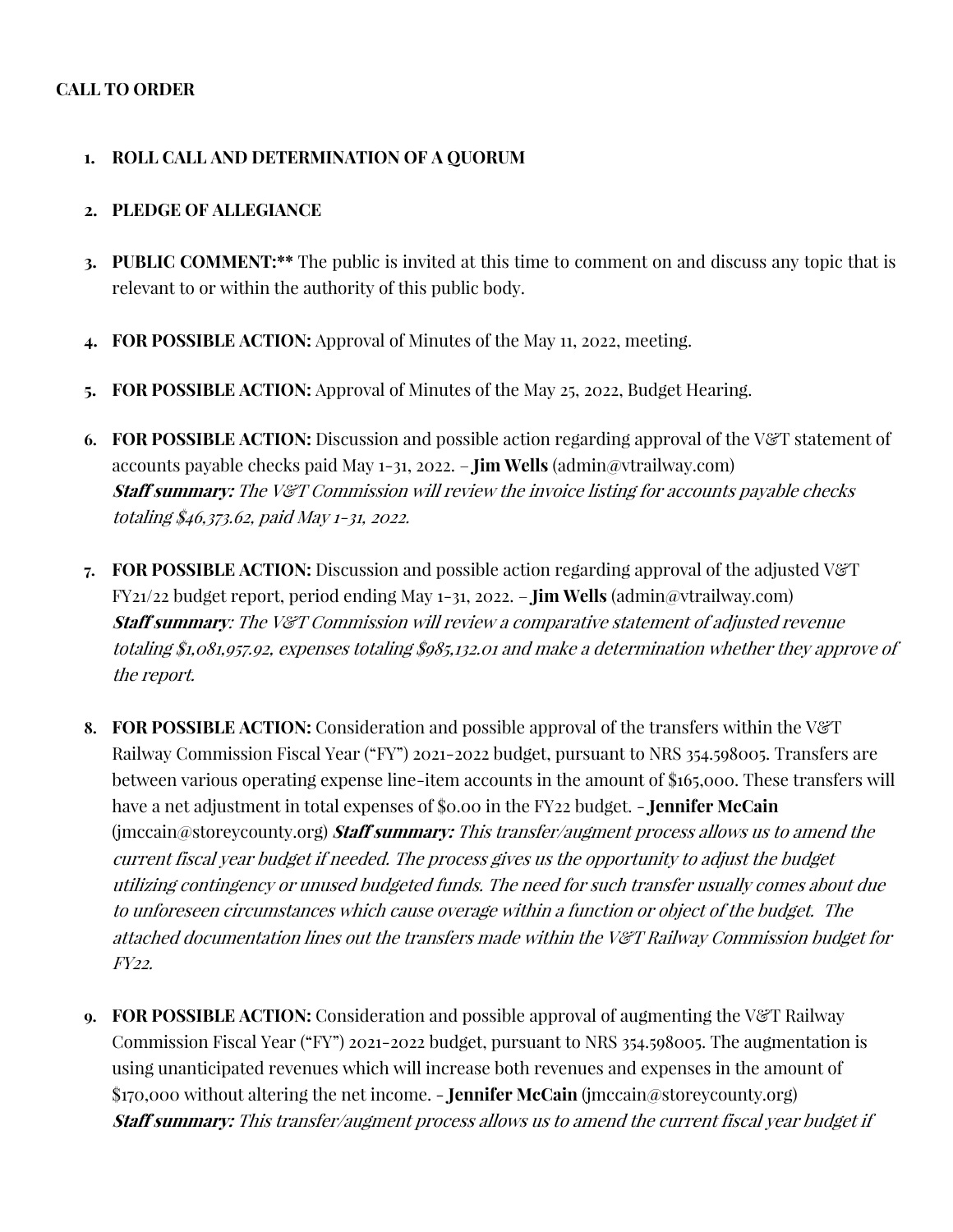#### **CALL TO ORDER**

#### **1. ROLL CALL AND DETERMINATION OF A QUORUM**

#### **2. PLEDGE OF ALLEGIANCE**

- **3. PUBLIC COMMENT:\*\*** The public is invited at this time to comment on and discuss any topic that is relevant to or within the authority of this public body.
- **4. FOR POSSIBLE ACTION:** Approval of Minutes of the May 11, 2022, meeting.
- **5. FOR POSSIBLE ACTION:** Approval of Minutes of the May 25, 2022, Budget Hearing.
- **6. FOR POSSIBLE ACTION:** Discussion and possible action regarding approval of the V&T statement of accounts payable checks paid May 1-31, 2022. – **Jim Wells** (admin@vtrailway.com) **Staff summary:** The V&T Commission will review the invoice listing for accounts payable checks totaling \$46,373.62, paid May 1-31, 2022.
- **7. FOR POSSIBLE ACTION:** Discussion and possible action regarding approval of the adjusted V&T FY21/22 budget report, period ending May 1-31, 2022. – **Jim Wells** (admin@vtrailway.com) **Staff summary**: The V&T Commission will review a comparative statement of adjusted revenue totaling \$1,081,957.92, expenses totaling \$985,132.01 and make a determination whether they approve of the report.
- **8. FOR POSSIBLE ACTION:** Consideration and possible approval of the transfers within the V&T Railway Commission Fiscal Year ("FY") 2021-2022 budget, pursuant to NRS 354.598005. Transfers are between various operating expense line-item accounts in the amount of \$165,000. These transfers will have a net adjustment in total expenses of \$0.00 in the FY22 budget. - **Jennifer McCain** (jmccain@storeycounty.org) **Staff summary:** This transfer/augment process allows us to amend the current fiscal year budget if needed. The process gives us the opportunity to adjust the budget utilizing contingency or unused budgeted funds. The need for such transfer usually comes about due to unforeseen circumstances which cause overage within a function or object of the budget. The attached documentation lines out the transfers made within the V&T Railway Commission budget for FY22.
- **9. FOR POSSIBLE ACTION:** Consideration and possible approval of augmenting the V&T Railway Commission Fiscal Year ("FY") 2021-2022 budget, pursuant to NRS 354.598005. The augmentation is using unanticipated revenues which will increase both revenues and expenses in the amount of \$170,000 without altering the net income. - **Jennifer McCain** (jmccain@storeycounty.org) **Staff summary:** This transfer/augment process allows us to amend the current fiscal year budget if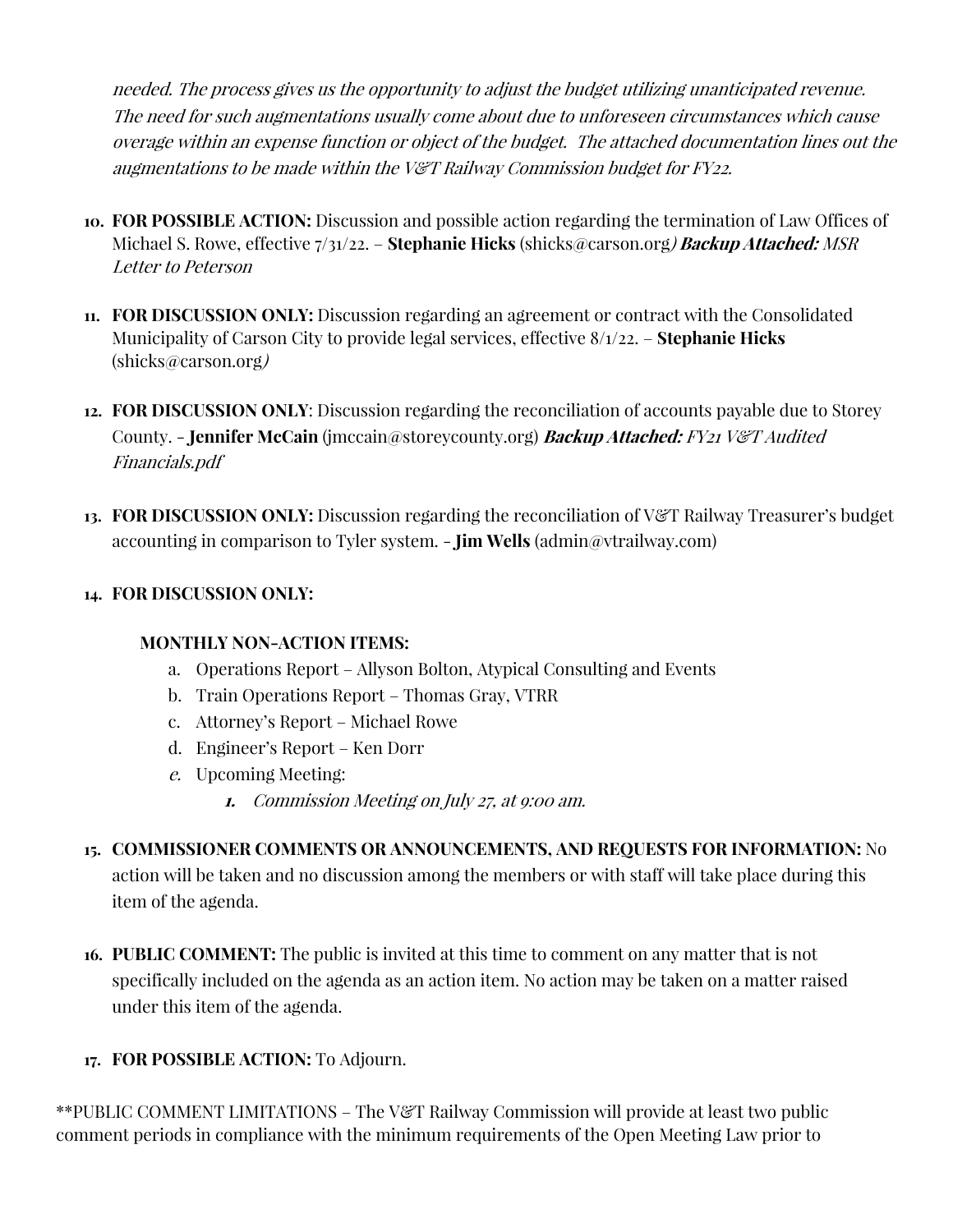needed. The process gives us the opportunity to adjust the budget utilizing unanticipated revenue. The need for such augmentations usually come about due to unforeseen circumstances which cause overage within an expense function or object of the budget. The attached documentation lines out the augmentations to be made within the V&T Railway Commission budget for FY22.

- **10. FOR POSSIBLE ACTION:** Discussion and possible action regarding the termination of Law Offices of Michael S. Rowe, effective 7/31/22. – **Stephanie Hicks** (shicks@carson.org) **Backup Attached:** MSR Letter to Peterson
- **11. FOR DISCUSSION ONLY:** Discussion regarding an agreement or contract with the Consolidated Municipality of Carson City to provide legal services, effective 8/1/22. – **Stephanie Hicks** (shicks@carson.org)
- **12. FOR DISCUSSION ONLY**: Discussion regarding the reconciliation of accounts payable due to Storey County. - **Jennifer McCain** (jmccain@storeycounty.org) **Backup Attached:** FY21 V&T Audited Financials.pdf
- **13. FOR DISCUSSION ONLY:** Discussion regarding the reconciliation of V&T Railway Treasurer's budget accounting in comparison to Tyler system. - **Jim Wells** (admin@vtrailway.com)

#### **14. FOR DISCUSSION ONLY:**

#### **MONTHLY NON-ACTION ITEMS:**

- a. Operations Report Allyson Bolton, Atypical Consulting and Events
- b. Train Operations Report Thomas Gray, VTRR
- c. Attorney's Report Michael Rowe
- d. Engineer's Report Ken Dorr
- e. Upcoming Meeting:
	- **1.** Commission Meeting on July 27, at 9:00 am.
- **15. COMMISSIONER COMMENTS OR ANNOUNCEMENTS, AND REQUESTS FOR INFORMATION:** No action will be taken and no discussion among the members or with staff will take place during this item of the agenda.
- **16. PUBLIC COMMENT:** The public is invited at this time to comment on any matter that is not specifically included on the agenda as an action item. No action may be taken on a matter raised under this item of the agenda.
- **17. FOR POSSIBLE ACTION:** To Adjourn.

\*\*PUBLIC COMMENT LIMITATIONS – The V&T Railway Commission will provide at least two public comment periods in compliance with the minimum requirements of the Open Meeting Law prior to